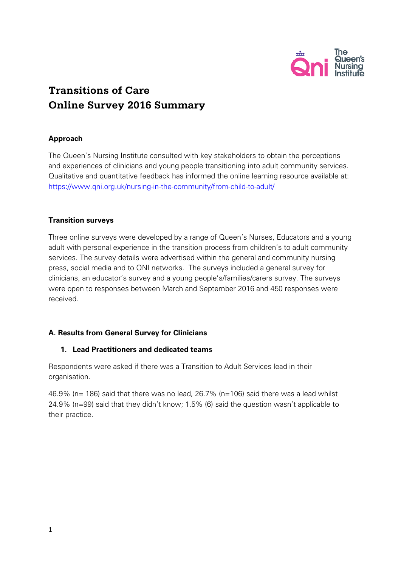

# **Transitions of Care Online Survey 2016 Summary**

# **Approach**

The Queen's Nursing Institute consulted with key stakeholders to obtain the perceptions and experiences of clinicians and young people transitioning into adult community services. Qualitative and quantitative feedback has informed the online learning resource available at: <https://www.qni.org.uk/nursing-in-the-community/from-child-to-adult/>

## **Transition surveys**

Three online surveys were developed by a range of Queen's Nurses, Educators and a young adult with personal experience in the transition process from children's to adult community services. The survey details were advertised within the general and community nursing press, social media and to QNI networks. The surveys included a general survey for clinicians, an educator's survey and a young people's/families/carers survey. The surveys were open to responses between March and September 2016 and 450 responses were received.

# **A. Results from General Survey for Clinicians**

#### **1. Lead Practitioners and dedicated teams**

Respondents were asked if there was a Transition to Adult Services lead in their organisation.

46.9% (n= 186) said that there was no lead, 26.7% (n=106) said there was a lead whilst 24.9% (n=99) said that they didn't know; 1.5% (6) said the question wasn't applicable to their practice.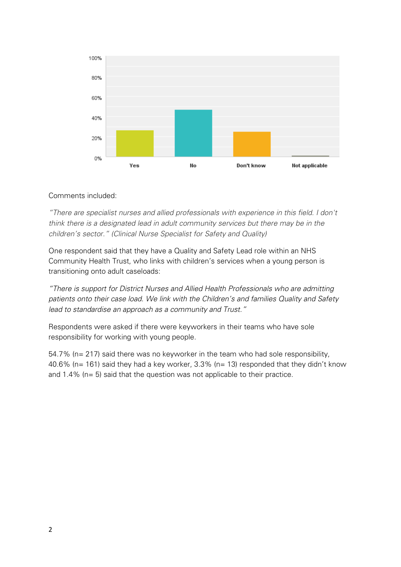

## Comments included:

*"There are specialist nurses and allied professionals with experience in this field. I don't think there is a designated lead in adult community services but there may be in the children's sector." (Clinical Nurse Specialist for Safety and Quality)*

One respondent said that they have a Quality and Safety Lead role within an NHS Community Health Trust, who links with children's services when a young person is transitioning onto adult caseloads:

*"There is support for District Nurses and Allied Health Professionals who are admitting patients onto their case load. We link with the Children's and families Quality and Safety lead to standardise an approach as a community and Trust."*

Respondents were asked if there were keyworkers in their teams who have sole responsibility for working with young people.

54.7% (n= 217) said there was no keyworker in the team who had sole responsibility, 40.6% (n= 161) said they had a key worker,  $3.3\%$  (n= 13) responded that they didn't know and 1.4% (n= 5) said that the question was not applicable to their practice.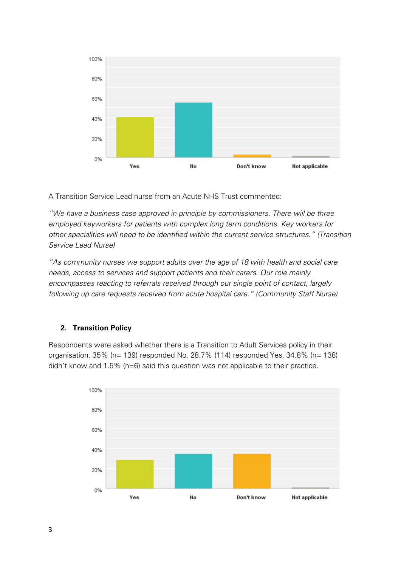

A Transition Service Lead nurse from an Acute NHS Trust commented:

*"We have a business case approved in principle by commissioners. There will be three employed keyworkers for patients with complex long term conditions. Key workers for other specialities will need to be identified within the current service structures." (Transition Service Lead Nurse)*

*"As community nurses we support adults over the age of 18 with health and social care needs, access to services and support patients and their carers. Our role mainly encompasses reacting to referrals received through our single point of contact, largely following up care requests received from acute hospital care." (Community Staff Nurse)*

#### **2. Transition Policy**

Respondents were asked whether there is a Transition to Adult Services policy in their organisation. 35% (n= 139) responded No, 28.7% (114) responded Yes, 34.8% (n= 138) didn't know and 1.5% (n=6) said this question was not applicable to their practice.

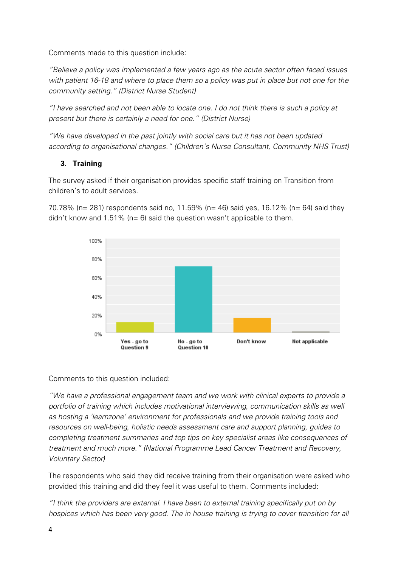Comments made to this question include:

*"Believe a policy was implemented a few years ago as the acute sector often faced issues with patient 16-18 and where to place them so a policy was put in place but not one for the community setting." (District Nurse Student)*

*"I have searched and not been able to locate one. I do not think there is such a policy at present but there is certainly a need for one." (District Nurse)*

*"We have developed in the past jointly with social care but it has not been updated according to organisational changes." (Children's Nurse Consultant, Community NHS Trust)*

# **3. Training**

The survey asked if their organisation provides specific staff training on Transition from children's to adult services.

70.78% (n= 281) respondents said no, 11.59% (n= 46) said yes, 16.12% (n= 64) said they didn't know and 1.51% (n= 6) said the question wasn't applicable to them.



Comments to this question included:

*"We have a professional engagement team and we work with clinical experts to provide a portfolio of training which includes motivational interviewing, communication skills as well as hosting a 'learnzone' environment for professionals and we provide training tools and resources on well-being, holistic needs assessment care and support planning, guides to completing treatment summaries and top tips on key specialist areas like consequences of treatment and much more." (National Programme Lead Cancer Treatment and Recovery, Voluntary Sector)*

The respondents who said they did receive training from their organisation were asked who provided this training and did they feel it was useful to them. Comments included:

*"I think the providers are external. I have been to external training specifically put on by hospices which has been very good. The in house training is trying to cover transition for all*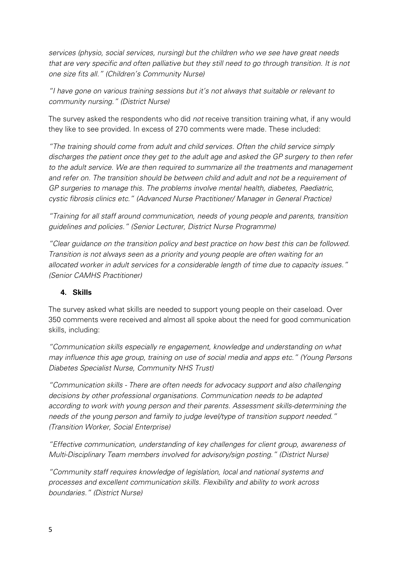*services (physio, social services, nursing) but the children who we see have great needs that are very specific and often palliative but they still need to go through transition. It is not one size fits all." (Children's Community Nurse)*

*"I have gone on various training sessions but it's not always that suitable or relevant to community nursing." (District Nurse)*

The survey asked the respondents who did *not* receive transition training what, if any would they like to see provided. In excess of 270 comments were made. These included:

*"The training should come from adult and child services. Often the child service simply discharges the patient once they get to the adult age and asked the GP surgery to then refer to the adult service. We are then required to summarize all the treatments and management and refer on. The transition should be between child and adult and not be a requirement of GP surgeries to manage this. The problems involve mental health, diabetes, Paediatric, cystic fibrosis clinics etc." (Advanced Nurse Practitioner/ Manager in General Practice)*

*"Training for all staff around communication, needs of young people and parents, transition guidelines and policies." (Senior Lecturer, District Nurse Programme)*

*"Clear guidance on the transition policy and best practice on how best this can be followed. Transition is not always seen as a priority and young people are often waiting for an allocated worker in adult services for a considerable length of time due to capacity issues." (Senior CAMHS Practitioner)*

# **4. Skills**

The survey asked what skills are needed to support young people on their caseload. Over 350 comments were received and almost all spoke about the need for good communication skills, including:

*"Communication skills especially re engagement, knowledge and understanding on what may influence this age group, training on use of social media and apps etc." (Young Persons Diabetes Specialist Nurse, Community NHS Trust)*

*"Communication skills - There are often needs for advocacy support and also challenging decisions by other professional organisations. Communication needs to be adapted according to work with young person and their parents. Assessment skills-determining the needs of the young person and family to judge level/type of transition support needed." (Transition Worker, Social Enterprise)*

*"Effective communication, understanding of key challenges for client group, awareness of Multi-Disciplinary Team members involved for advisory/sign posting." (District Nurse)*

*"Community staff requires knowledge of legislation, local and national systems and processes and excellent communication skills. Flexibility and ability to work across boundaries." (District Nurse)*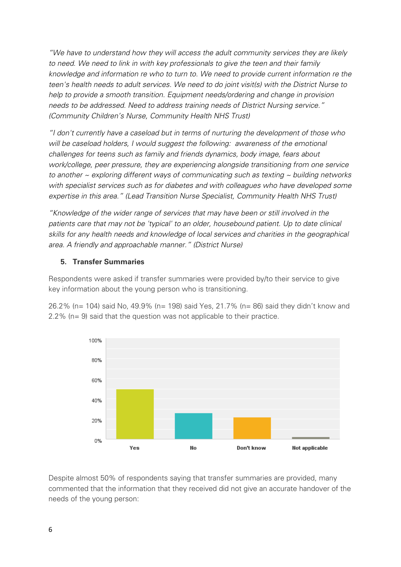*"We have to understand how they will access the adult community services they are likely to need. We need to link in with key professionals to give the teen and their family knowledge and information re who to turn to. We need to provide current information re the teen's health needs to adult services. We need to do joint visit(s) with the District Nurse to help to provide a smooth transition. Equipment needs/ordering and change in provision needs to be addressed. Need to address training needs of District Nursing service." (Community Children's Nurse, Community Health NHS Trust)*

*"I don't currently have a caseload but in terms of nurturing the development of those who will be caseload holders, I would suggest the following: awareness of the emotional challenges for teens such as family and friends dynamics, body image, fears about work/college, peer pressure, they are experiencing alongside transitioning from one service to another ~ exploring different ways of communicating such as texting ~ building networks*  with specialist services such as for diabetes and with colleagues who have developed some *expertise in this area." (Lead Transition Nurse Specialist, Community Health NHS Trust)* 

*"Knowledge of the wider range of services that may have been or still involved in the patients care that may not be 'typical' to an older, housebound patient. Up to date clinical skills for any health needs and knowledge of local services and charities in the geographical area. A friendly and approachable manner." (District Nurse)*

# **5. Transfer Summaries**

Respondents were asked if transfer summaries were provided by/to their service to give key information about the young person who is transitioning.

26.2% (n= 104) said No, 49.9% (n= 198) said Yes, 21.7% (n= 86) said they didn't know and 2.2% (n= 9) said that the question was not applicable to their practice.



Despite almost 50% of respondents saying that transfer summaries are provided, many commented that the information that they received did not give an accurate handover of the needs of the young person: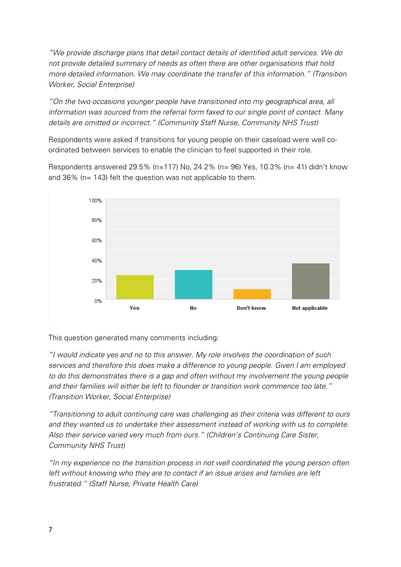*"We provide discharge plans that detail contact details of identified adult services. We do not provide detailed summary of needs as often there are other organisations that hold more detailed information. We may coordinate the transfer of this information." (Transition Worker, Social Enterprise)*

*"On the two occasions younger people have transitioned into my geographical area, all information was sourced from the referral form faxed to our single point of contact. Many details are omitted or incorrect." (Community Staff Nurse, Community NHS Trust)*

Respondents were asked if transitions for young people on their caseload were well coordinated between services to enable the clinician to feel supported in their role.

Respondents answered 29.5% (n=117) No, 24.2% (n= 96) Yes, 10.3% (n= 41) didn't know and 36% (n= 143) felt the question was not applicable to them.



This question generated many comments including:

*"I would indicate yes and no to this answer. My role involves the coordination of such services and therefore this does make a difference to young people. Given I am employed to do this demonstrates there is a gap and often without my involvement the young people and their families will either be left to flounder or transition work commence too late." (Transition Worker, Social Enterprise)*

*"Transitioning to adult continuing care was challenging as their criteria was different to ours and they wanted us to undertake their assessment instead of working with us to complete. Also their service varied very much from ours." (Children's Continuing Care Sister, Community NHS Trust)*

*"In my experience no the transition process in not well coordinated the young person often left without knowing who they are to contact if an issue arises and families are left frustrated." (Staff Nurse, Private Health Care)*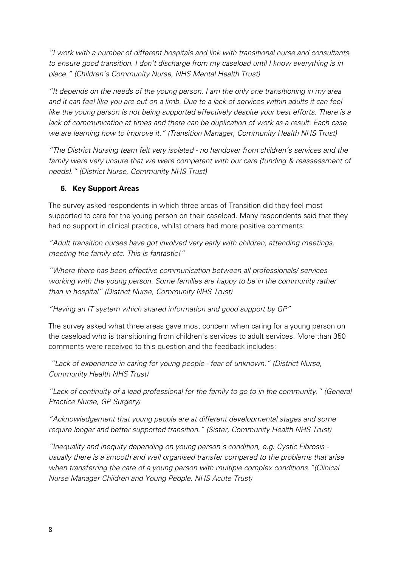*"I work with a number of different hospitals and link with transitional nurse and consultants to ensure good transition. I don't discharge from my caseload until I know everything is in place." (Children's Community Nurse, NHS Mental Health Trust)*

*"It depends on the needs of the young person. I am the only one transitioning in my area*  and it can feel like you are out on a limb. Due to a lack of services within adults it can feel *like the young person is not being supported effectively despite your best efforts. There is a lack of communication at times and there can be duplication of work as a result. Each case we are learning how to improve it." (Transition Manager, Community Health NHS Trust)* 

*"The District Nursing team felt very isolated - no handover from children's services and the family were very unsure that we were competent with our care (funding & reassessment of needs)." (District Nurse, Community NHS Trust)*

# **6. Key Support Areas**

The survey asked respondents in which three areas of Transition did they feel most supported to care for the young person on their caseload. Many respondents said that they had no support in clinical practice, whilst others had more positive comments:

*"Adult transition nurses have got involved very early with children, attending meetings, meeting the family etc. This is fantastic!"*

*"Where there has been effective communication between all professionals/ services working with the young person. Some families are happy to be in the community rather than in hospital" (District Nurse, Community NHS Trust)*

*"Having an IT system which shared information and good support by GP"*

The survey asked what three areas gave most concern when caring for a young person on the caseload who is transitioning from children's services to adult services. More than 350 comments were received to this question and the feedback includes:

*"Lack of experience in caring for young people - fear of unknown." (District Nurse, Community Health NHS Trust)*

*"Lack of continuity of a lead professional for the family to go to in the community." (General Practice Nurse, GP Surgery)*

*"Acknowledgement that young people are at different developmental stages and some require longer and better supported transition." (Sister, Community Health NHS Trust)*

*"Inequality and inequity depending on young person's condition, e.g. Cystic Fibrosis usually there is a smooth and well organised transfer compared to the problems that arise when transferring the care of a young person with multiple complex conditions."(Clinical Nurse Manager Children and Young People, NHS Acute Trust)*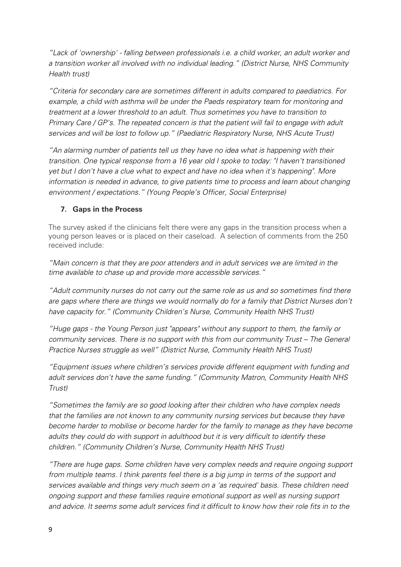*"Lack of 'ownership' - falling between professionals i.e. a child worker, an adult worker and a transition worker all involved with no individual leading." (District Nurse, NHS Community Health trust)*

*"Criteria for secondary care are sometimes different in adults compared to paediatrics. For example, a child with asthma will be under the Paeds respiratory team for monitoring and treatment at a lower threshold to an adult. Thus sometimes you have to transition to Primary Care / GP's. The repeated concern is that the patient will fail to engage with adult services and will be lost to follow up." (Paediatric Respiratory Nurse, NHS Acute Trust)*

*"An alarming number of patients tell us they have no idea what is happening with their transition. One typical response from a 16 year old I spoke to today: "I haven't transitioned yet but I don't have a clue what to expect and have no idea when it's happening". More information is needed in advance, to give patients time to process and learn about changing environment / expectations." (Young People's Officer, Social Enterprise)*

# **7. Gaps in the Process**

The survey asked if the clinicians felt there were any gaps in the transition process when a young person leaves or is placed on their caseload. A selection of comments from the 250 received include:

*"Main concern is that they are poor attenders and in adult services we are limited in the time available to chase up and provide more accessible services."* 

*"Adult community nurses do not carry out the same role as us and so sometimes find there are gaps where there are things we would normally do for a family that District Nurses don't have capacity for." (Community Children's Nurse, Community Health NHS Trust)*

*"Huge gaps - the Young Person just "appears" without any support to them, the family or community services. There is no support with this from our community Trust – The General Practice Nurses struggle as well" (District Nurse, Community Health NHS Trust)*

*"Equipment issues where children's services provide different equipment with funding and adult services don't have the same funding." (Community Matron, Community Health NHS Trust)*

*"Sometimes the family are so good looking after their children who have complex needs that the families are not known to any community nursing services but because they have become harder to mobilise or become harder for the family to manage as they have become adults they could do with support in adulthood but it is very difficult to identify these children." (Community Children's Nurse, Community Health NHS Trust)*

*"There are huge gaps. Some children have very complex needs and require ongoing support from multiple teams. I think parents feel there is a big jump in terms of the support and services available and things very much seem on a 'as required' basis. These children need ongoing support and these families require emotional support as well as nursing support and advice. It seems some adult services find it difficult to know how their role fits in to the*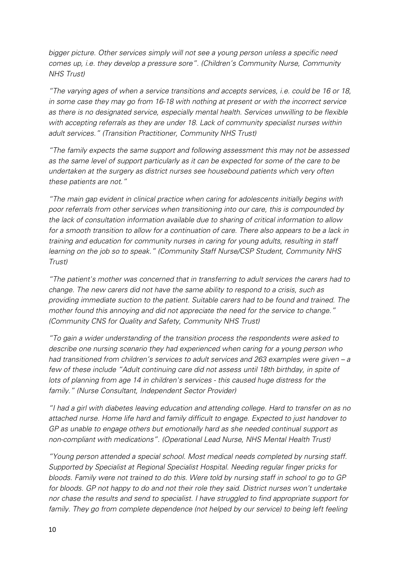*bigger picture. Other services simply will not see a young person unless a specific need comes up, i.e. they develop a pressure sore". (Children's Community Nurse, Community NHS Trust)*

*"The varying ages of when a service transitions and accepts services, i.e. could be 16 or 18, in some case they may go from 16-18 with nothing at present or with the incorrect service as there is no designated service, especially mental health. Services unwilling to be flexible with accepting referrals as they are under 18. Lack of community specialist nurses within adult services." (Transition Practitioner, Community NHS Trust)*

*"The family expects the same support and following assessment this may not be assessed as the same level of support particularly as it can be expected for some of the care to be undertaken at the surgery as district nurses see housebound patients which very often these patients are not."*

*"The main gap evident in clinical practice when caring for adolescents initially begins with poor referrals from other services when transitioning into our care, this is compounded by the lack of consultation information available due to sharing of critical information to allow*  for a smooth transition to allow for a continuation of care. There also appears to be a lack in *training and education for community nurses in caring for young adults, resulting in staff learning on the job so to speak." (Community Staff Nurse/CSP Student, Community NHS Trust)*

*"The patient's mother was concerned that in transferring to adult services the carers had to change. The new carers did not have the same ability to respond to a crisis, such as providing immediate suction to the patient. Suitable carers had to be found and trained. The mother found this annoying and did not appreciate the need for the service to change." (Community CNS for Quality and Safety, Community NHS Trust)*

*"To gain a wider understanding of the transition process the respondents were asked to describe one nursing scenario they had experienced when caring for a young person who had transitioned from children's services to adult services and 263 examples were given – a few of these include "Adult continuing care did not assess until 18th birthday, in spite of lots of planning from age 14 in children's services - this caused huge distress for the family." (Nurse Consultant, Independent Sector Provider)*

*"I had a girl with diabetes leaving education and attending college. Hard to transfer on as no attached nurse. Home life hard and family difficult to engage. Expected to just handover to GP as unable to engage others but emotionally hard as she needed continual support as non-compliant with medications". (Operational Lead Nurse, NHS Mental Health Trust)*

*"Young person attended a special school. Most medical needs completed by nursing staff. Supported by Specialist at Regional Specialist Hospital. Needing regular finger pricks for bloods. Family were not trained to do this. Were told by nursing staff in school to go to GP for bloods. GP not happy to do and not their role they said. District nurses won't undertake nor chase the results and send to specialist. I have struggled to find appropriate support for family. They go from complete dependence (not helped by our service) to being left feeling*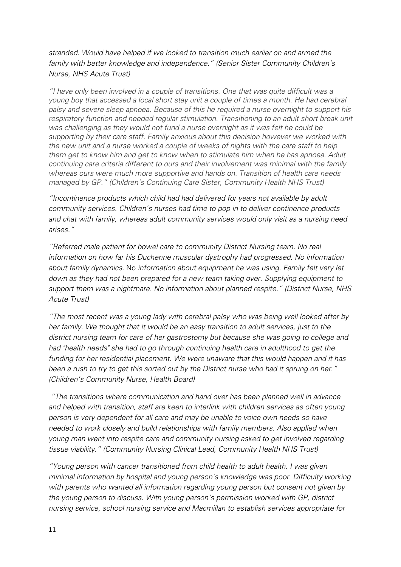*stranded. Would have helped if we looked to transition much earlier on and armed the family with better knowledge and independence." (Senior Sister Community Children's Nurse, NHS Acute Trust)*

*"I have only been involved in a couple of transitions. One that was quite difficult was a young boy that accessed a local short stay unit a couple of times a month. He had cerebral palsy and severe sleep apnoea. Because of this he required a nurse overnight to support his respiratory function and needed regular stimulation. Transitioning to an adult short break unit was challenging as they would not fund a nurse overnight as it was felt he could be supporting by their care staff. Family anxious about this decision however we worked with the new unit and a nurse worked a couple of weeks of nights with the care staff to help them get to know him and get to know when to stimulate him when he has apnoea. Adult continuing care criteria different to ours and their involvement was minimal with the family whereas ours were much more supportive and hands on. Transition of health care needs managed by GP." (Children's Continuing Care Sister, Community Health NHS Trust)*

*"Incontinence products which child had had delivered for years not available by adult community services. Children's nurses had time to pop in to deliver continence products and chat with family, whereas adult community services would only visit as a nursing need arises."*

*"Referred male patient for bowel care to community District Nursing team. No real information on how far his Duchenne muscular dystrophy had progressed. No information about family dynamics.* No *information about equipment he was using. Family felt very let down as they had not been prepared for a new team taking over. Supplying equipment to support them was a nightmare. No information about planned respite." (District Nurse, NHS Acute Trust)*

*"The most recent was a young lady with cerebral palsy who was being well looked after by her family. We thought that it would be an easy transition to adult services, just to the district nursing team for care of her gastrostomy but because she was going to college and had "health needs" she had to go through continuing health care in adulthood to get the funding for her residential placement. We were unaware that this would happen and it has been a rush to try to get this sorted out by the District nurse who had it sprung on her." (Children's Community Nurse, Health Board)*

*"The transitions where communication and hand over has been planned well in advance and helped with transition, staff are keen to interlink with children services as often young person is very dependent for all care and may be unable to voice own needs so have needed to work closely and build relationships with family members. Also applied when young man went into respite care and community nursing asked to get involved regarding tissue viability." (Community Nursing Clinical Lead, Community Health NHS Trust)*

*"Young person with cancer transitioned from child health to adult health. I was given minimal information by hospital and young person's knowledge was poor. Difficulty working with parents who wanted all information regarding young person but consent not given by the young person to discuss. With young person's permission worked with GP, district nursing service, school nursing service and Macmillan to establish services appropriate for*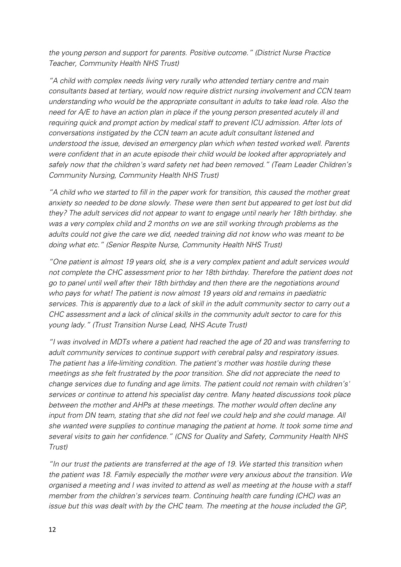*the young person and support for parents. Positive outcome." (District Nurse Practice Teacher, Community Health NHS Trust)* 

*"A child with complex needs living very rurally who attended tertiary centre and main consultants based at tertiary, would now require district nursing involvement and CCN team understanding who would be the appropriate consultant in adults to take lead role. Also the need for A/E to have an action plan in place if the young person presented acutely ill and requiring quick and prompt action by medical staff to prevent ICU admission. After lots of conversations instigated by the CCN team an acute adult consultant listened and understood the issue, devised an emergency plan which when tested worked well. Parents were confident that in an acute episode their child would be looked after appropriately and safely now that the children's ward safety net had been removed." (Team Leader Children's Community Nursing, Community Health NHS Trust)*

*"A child who we started to fill in the paper work for transition, this caused the mother great anxiety so needed to be done slowly. These were then sent but appeared to get lost but did they? The adult services did not appear to want to engage until nearly her 18th birthday. she was a very complex child and 2 months on we are still working through problems as the adults could not give the care we did, needed training did not know who was meant to be doing what etc." (Senior Respite Nurse, Community Health NHS Trust)*

*"One patient is almost 19 years old, she is a very complex patient and adult services would not complete the CHC assessment prior to her 18th birthday. Therefore the patient does not go to panel until well after their 18th birthday and then there are the negotiations around who pays for what! The patient is now almost 19 years old and remains in paediatric services. This is apparently due to a lack of skill in the adult community sector to carry out a CHC assessment and a lack of clinical skills in the community adult sector to care for this young lady." (Trust Transition Nurse Lead, NHS Acute Trust)*

*"I was involved in MDTs where a patient had reached the age of 20 and was transferring to adult community services to continue support with cerebral palsy and respiratory issues. The patient has a life-limiting condition. The patient's mother was hostile during these meetings as she felt frustrated by the poor transition. She did not appreciate the need to change services due to funding and age limits. The patient could not remain with children's' services or continue to attend his specialist day centre. Many heated discussions took place between the mother and AHPs at these meetings. The mother would often decline any input from DN team, stating that she did not feel we could help and she could manage. All she wanted were supplies to continue managing the patient at home. It took some time and several visits to gain her confidence." (CNS for Quality and Safety, Community Health NHS Trust)*

*"In our trust the patients are transferred at the age of 19. We started this transition when the patient was 18. Family especially the mother were very anxious about the transition. We organised a meeting and I was invited to attend as well as meeting at the house with a staff member from the children's services team. Continuing health care funding (CHC) was an issue but this was dealt with by the CHC team. The meeting at the house included the GP,*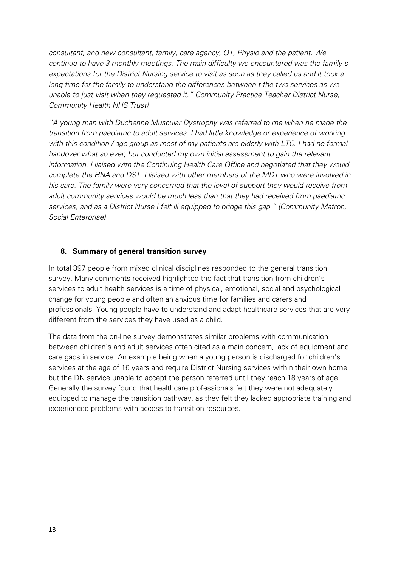*consultant, and new consultant, family, care agency, OT, Physio and the patient. We continue to have 3 monthly meetings. The main difficulty we encountered was the family's expectations for the District Nursing service to visit as soon as they called us and it took a long time for the family to understand the differences between t the two services as we unable to just visit when they requested it." Community Practice Teacher District Nurse, Community Health NHS Trust)*

*"A young man with Duchenne Muscular Dystrophy was referred to me when he made the transition from paediatric to adult services. I had little knowledge or experience of working with this condition / age group as most of my patients are elderly with LTC. I had no formal handover what so ever, but conducted my own initial assessment to gain the relevant information. I liaised with the Continuing Health Care Office and negotiated that they would complete the HNA and DST. I liaised with other members of the MDT who were involved in his care. The family were very concerned that the level of support they would receive from adult community services would be much less than that they had received from paediatric services, and as a District Nurse I felt ill equipped to bridge this gap." (Community Matron, Social Enterprise)*

## **8. Summary of general transition survey**

In total 397 people from mixed clinical disciplines responded to the general transition survey. Many comments received highlighted the fact that transition from children's services to adult health services is a time of physical, emotional, social and psychological change for young people and often an anxious time for families and carers and professionals. Young people have to understand and adapt healthcare services that are very different from the services they have used as a child.

The data from the on-line survey demonstrates similar problems with communication between children's and adult services often cited as a main concern, lack of equipment and care gaps in service. An example being when a young person is discharged for children's services at the age of 16 years and require District Nursing services within their own home but the DN service unable to accept the person referred until they reach 18 years of age. Generally the survey found that healthcare professionals felt they were not adequately equipped to manage the transition pathway, as they felt they lacked appropriate training and experienced problems with access to transition resources.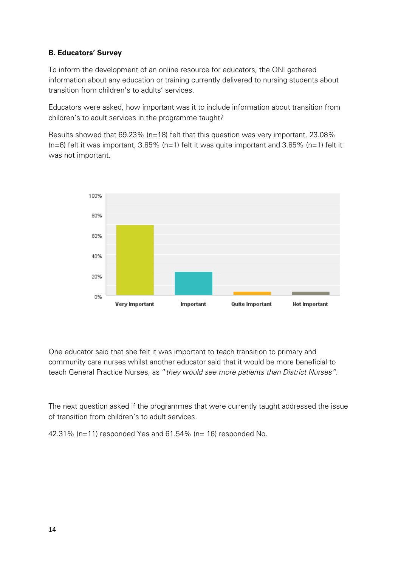# **B. Educators' Survey**

To inform the development of an online resource for educators, the QNI gathered information about any education or training currently delivered to nursing students about transition from children's to adults' services.

Educators were asked, how important was it to include information about transition from children's to adult services in the programme taught?

Results showed that 69.23% (n=18) felt that this question was very important, 23.08%  $(n=6)$  felt it was important, 3.85%  $(n=1)$  felt it was quite important and 3.85%  $(n=1)$  felt it was not important.



One educator said that she felt it was important to teach transition to primary and community care nurses whilst another educator said that it would be more beneficial to teach General Practice Nurses, as "*they would see more patients than District Nurses".*

The next question asked if the programmes that were currently taught addressed the issue of transition from children's to adult services.

42.31% (n=11) responded Yes and 61.54% (n= 16) responded No.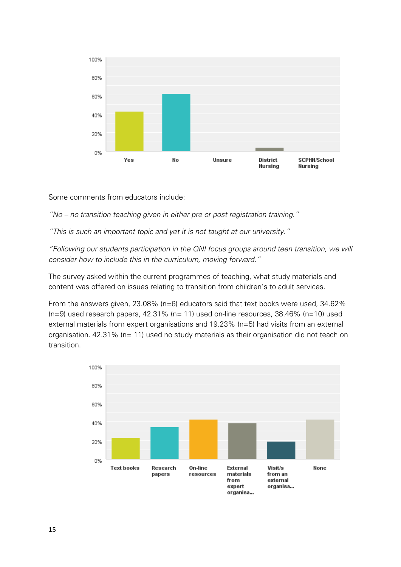

Some comments from educators include:

*"No – no transition teaching given in either pre or post registration training."*

*"This is such an important topic and yet it is not taught at our university."*

*"Following our students participation in the QNI focus groups around teen transition, we will consider how to include this in the curriculum, moving forward."*

The survey asked within the current programmes of teaching, what study materials and content was offered on issues relating to transition from children's to adult services.

From the answers given, 23.08% (n=6) educators said that text books were used, 34.62%  $(n=9)$  used research papers, 42.31% (n= 11) used on-line resources, 38.46% (n=10) used external materials from expert organisations and 19.23% (n=5) had visits from an external organisation. 42.31% (n= 11) used no study materials as their organisation did not teach on transition.

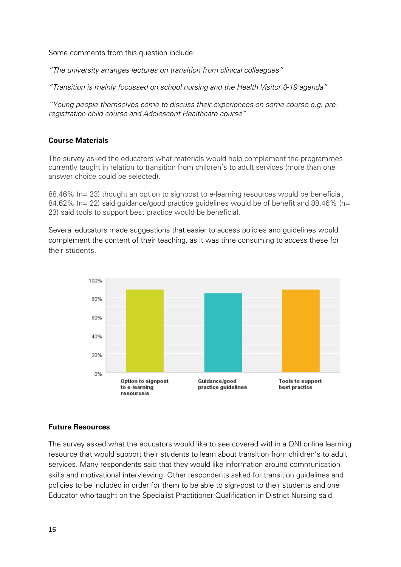Some comments from this question include:

*"The university arranges lectures on transition from clinical colleagues"*

*"Transition is mainly focussed on school nursing and the Health Visitor 0-19 agenda"*

*"Young people themselves come to discuss their experiences on some course e.g. preregistration child course and Adolescent Healthcare course"*

## **Course Materials**

The survey asked the educators what materials would help complement the programmes currently taught in relation to transition from children's to adult services (more than one answer choice could be selected).

88.46% (n= 23) thought an option to signpost to e-learning resources would be beneficial, 84.62% (n= 22) said guidance/good practice guidelines would be of benefit and 88.46% (n= 23) said tools to support best practice would be beneficial.

Several educators made suggestions that easier to access policies and guidelines would complement the content of their teaching, as it was time consuming to access these for their students.



#### **Future Resources**

The survey asked what the educators would like to see covered within a QNI online learning resource that would support their students to learn about transition from children's to adult services. Many respondents said that they would like information around communication skills and motivational interviewing. Other respondents asked for transition guidelines and policies to be included in order for them to be able to sign-post to their students and one Educator who taught on the Specialist Practitioner Qualification in District Nursing said: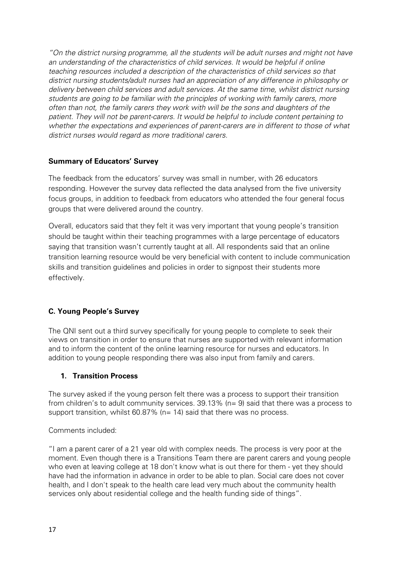*"On the district nursing programme, all the students will be adult nurses and might not have an understanding of the characteristics of child services. It would be helpful if online teaching resources included a description of the characteristics of child services so that district nursing students/adult nurses had an appreciation of any difference in philosophy or delivery between child services and adult services. At the same time, whilst district nursing students are going to be familiar with the principles of working with family carers, more often than not, the family carers they work with will be the sons and daughters of the patient. They will not be parent-carers. It would be helpful to include content pertaining to whether the expectations and experiences of parent-carers are in different to those of what district nurses would regard as more traditional carers.*

# **Summary of Educators' Survey**

The feedback from the educators' survey was small in number, with 26 educators responding. However the survey data reflected the data analysed from the five university focus groups, in addition to feedback from educators who attended the four general focus groups that were delivered around the country.

Overall, educators said that they felt it was very important that young people's transition should be taught within their teaching programmes with a large percentage of educators saying that transition wasn't currently taught at all. All respondents said that an online transition learning resource would be very beneficial with content to include communication skills and transition guidelines and policies in order to signpost their students more effectively.

# **C. Young People's Survey**

The QNI sent out a third survey specifically for young people to complete to seek their views on transition in order to ensure that nurses are supported with relevant information and to inform the content of the online learning resource for nurses and educators. In addition to young people responding there was also input from family and carers.

# **1. Transition Process**

The survey asked if the young person felt there was a process to support their transition from children's to adult community services. 39.13% (n= 9) said that there was a process to support transition, whilst  $60.87\%$  (n= 14) said that there was no process.

# Comments included:

"I am a parent carer of a 21 year old with complex needs. The process is very poor at the moment. Even though there is a Transitions Team there are parent carers and young people who even at leaving college at 18 don't know what is out there for them - yet they should have had the information in advance in order to be able to plan. Social care does not cover health, and I don't speak to the health care lead very much about the community health services only about residential college and the health funding side of things".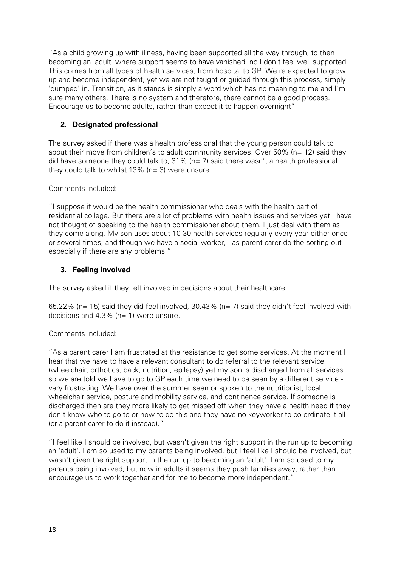"As a child growing up with illness, having been supported all the way through, to then becoming an 'adult' where support seems to have vanished, no I don't feel well supported. This comes from all types of health services, from hospital to GP. We're expected to grow up and become independent, yet we are not taught or guided through this process, simply 'dumped' in. Transition, as it stands is simply a word which has no meaning to me and I'm sure many others. There is no system and therefore, there cannot be a good process. Encourage us to become adults, rather than expect it to happen overnight".

# **2. Designated professional**

The survey asked if there was a health professional that the young person could talk to about their move from children's to adult community services. Over 50% (n= 12) said they did have someone they could talk to,  $31\%$  (n= 7) said there wasn't a health professional they could talk to whilst 13% (n= 3) were unsure.

# Comments included:

"I suppose it would be the health commissioner who deals with the health part of residential college. But there are a lot of problems with health issues and services yet I have not thought of speaking to the health commissioner about them. I just deal with them as they come along. My son uses about 10-30 health services regularly every year either once or several times, and though we have a social worker, I as parent carer do the sorting out especially if there are any problems."

# **3. Feeling involved**

The survey asked if they felt involved in decisions about their healthcare.

65.22% (n= 15) said they did feel involved, 30.43% (n= 7) said they didn't feel involved with decisions and 4.3% (n= 1) were unsure.

# Comments included:

"As a parent carer I am frustrated at the resistance to get some services. At the moment I hear that we have to have a relevant consultant to do referral to the relevant service (wheelchair, orthotics, back, nutrition, epilepsy) yet my son is discharged from all services so we are told we have to go to GP each time we need to be seen by a different service very frustrating. We have over the summer seen or spoken to the nutritionist, local wheelchair service, posture and mobility service, and continence service. If someone is discharged then are they more likely to get missed off when they have a health need if they don't know who to go to or how to do this and they have no keyworker to co-ordinate it all (or a parent carer to do it instead)."

"I feel like I should be involved, but wasn't given the right support in the run up to becoming an 'adult'. I am so used to my parents being involved, but I feel like I should be involved, but wasn't given the right support in the run up to becoming an 'adult'. I am so used to my parents being involved, but now in adults it seems they push families away, rather than encourage us to work together and for me to become more independent."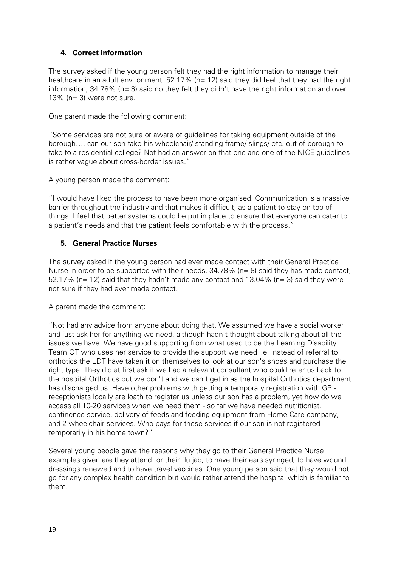# **4. Correct information**

The survey asked if the young person felt they had the right information to manage their healthcare in an adult environment. 52.17% (n= 12) said they did feel that they had the right information, 34.78% (n= 8) said no they felt they didn't have the right information and over 13% (n= 3) were not sure.

One parent made the following comment:

"Some services are not sure or aware of guidelines for taking equipment outside of the borough…. can our son take his wheelchair/ standing frame/ slings/ etc. out of borough to take to a residential college? Not had an answer on that one and one of the NICE guidelines is rather vague about cross-border issues."

A young person made the comment:

"I would have liked the process to have been more organised. Communication is a massive barrier throughout the industry and that makes it difficult, as a patient to stay on top of things. I feel that better systems could be put in place to ensure that everyone can cater to a patient's needs and that the patient feels comfortable with the process."

# **5. General Practice Nurses**

The survey asked if the young person had ever made contact with their General Practice Nurse in order to be supported with their needs. 34.78% (n= 8) said they has made contact, 52.17% ( $n= 12$ ) said that they hadn't made any contact and 13.04% ( $n= 3$ ) said they were not sure if they had ever made contact.

A parent made the comment:

"Not had any advice from anyone about doing that. We assumed we have a social worker and just ask her for anything we need, although hadn't thought about talking about all the issues we have. We have good supporting from what used to be the Learning Disability Team OT who uses her service to provide the support we need i.e. instead of referral to orthotics the LDT have taken it on themselves to look at our son's shoes and purchase the right type. They did at first ask if we had a relevant consultant who could refer us back to the hospital Orthotics but we don't and we can't get in as the hospital Orthotics department has discharged us. Have other problems with getting a temporary registration with GP receptionists locally are loath to register us unless our son has a problem, yet how do we access all 10-20 services when we need them - so far we have needed nutritionist, continence service, delivery of feeds and feeding equipment from Home Care company, and 2 wheelchair services. Who pays for these services if our son is not registered temporarily in his home town?"

Several young people gave the reasons why they go to their General Practice Nurse examples given are they attend for their flu jab, to have their ears syringed, to have wound dressings renewed and to have travel vaccines. One young person said that they would not go for any complex health condition but would rather attend the hospital which is familiar to them.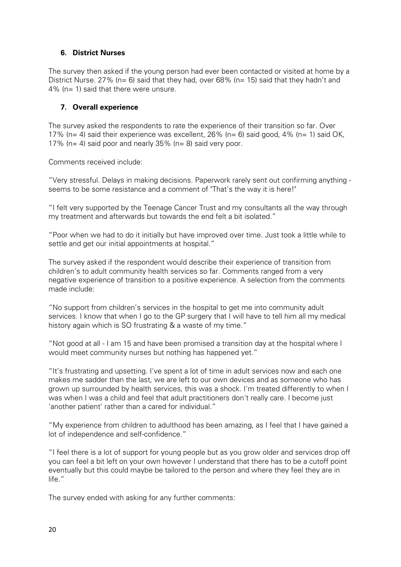# **6. District Nurses**

The survey then asked if the young person had ever been contacted or visited at home by a District Nurse. 27% ( $n=6$ ) said that they had, over 68% ( $n=15$ ) said that they hadn't and 4% (n= 1) said that there were unsure.

# **7. Overall experience**

The survey asked the respondents to rate the experience of their transition so far. Over 17% (n= 4) said their experience was excellent,  $26\%$  (n= 6) said good,  $4\%$  (n= 1) said OK, 17% ( $n= 4$ ) said poor and nearly 35% ( $n= 8$ ) said very poor.

Comments received include:

"Very stressful. Delays in making decisions. Paperwork rarely sent out confirming anything seems to be some resistance and a comment of "That's the way it is here!"

"I felt very supported by the Teenage Cancer Trust and my consultants all the way through my treatment and afterwards but towards the end felt a bit isolated."

"Poor when we had to do it initially but have improved over time. Just took a little while to settle and get our initial appointments at hospital."

The survey asked if the respondent would describe their experience of transition from children's to adult community health services so far. Comments ranged from a very negative experience of transition to a positive experience. A selection from the comments made include:

"No support from children's services in the hospital to get me into community adult services. I know that when I go to the GP surgery that I will have to tell him all my medical history again which is SO frustrating & a waste of my time."

"Not good at all - I am 15 and have been promised a transition day at the hospital where I would meet community nurses but nothing has happened yet."

"It's frustrating and upsetting. I've spent a lot of time in adult services now and each one makes me sadder than the last, we are left to our own devices and as someone who has grown up surrounded by health services, this was a shock. I'm treated differently to when I was when I was a child and feel that adult practitioners don't really care. I become just 'another patient' rather than a cared for individual."

"My experience from children to adulthood has been amazing, as I feel that I have gained a lot of independence and self-confidence."

"I feel there is a lot of support for young people but as you grow older and services drop off you can feel a bit left on your own however I understand that there has to be a cutoff point eventually but this could maybe be tailored to the person and where they feel they are in life."

The survey ended with asking for any further comments: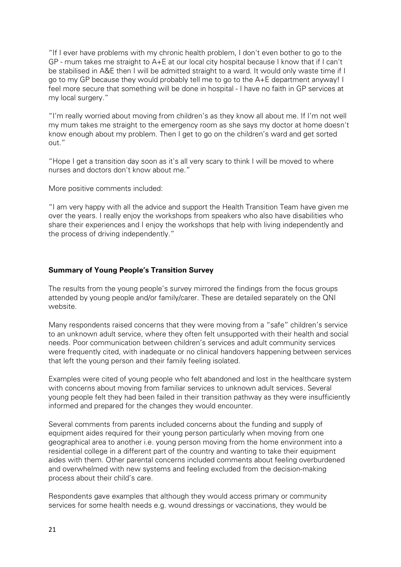"If I ever have problems with my chronic health problem, I don't even bother to go to the GP - mum takes me straight to A+E at our local city hospital because I know that if I can't be stabilised in A&E then I will be admitted straight to a ward. It would only waste time if I go to my GP because they would probably tell me to go to the A+E department anyway! I feel more secure that something will be done in hospital - I have no faith in GP services at my local surgery."

"I'm really worried about moving from children's as they know all about me. If I'm not well my mum takes me straight to the emergency room as she says my doctor at home doesn't know enough about my problem. Then I get to go on the children's ward and get sorted out."

"Hope I get a transition day soon as it's all very scary to think I will be moved to where nurses and doctors don't know about me."

More positive comments included:

"I am very happy with all the advice and support the Health Transition Team have given me over the years. I really enjoy the workshops from speakers who also have disabilities who share their experiences and I enjoy the workshops that help with living independently and the process of driving independently."

## **Summary of Young People's Transition Survey**

The results from the young people's survey mirrored the findings from the focus groups attended by young people and/or family/carer. These are detailed separately on the QNI website.

Many respondents raised concerns that they were moving from a "safe" children's service to an unknown adult service, where they often felt unsupported with their health and social needs. Poor communication between children's services and adult community services were frequently cited, with inadequate or no clinical handovers happening between services that left the young person and their family feeling isolated.

Examples were cited of young people who felt abandoned and lost in the healthcare system with concerns about moving from familiar services to unknown adult services. Several young people felt they had been failed in their transition pathway as they were insufficiently informed and prepared for the changes they would encounter.

Several comments from parents included concerns about the funding and supply of equipment aides required for their young person particularly when moving from one geographical area to another i.e. young person moving from the home environment into a residential college in a different part of the country and wanting to take their equipment aides with them. Other parental concerns included comments about feeling overburdened and overwhelmed with new systems and feeling excluded from the decision-making process about their child's care.

Respondents gave examples that although they would access primary or community services for some health needs e.g. wound dressings or vaccinations, they would be